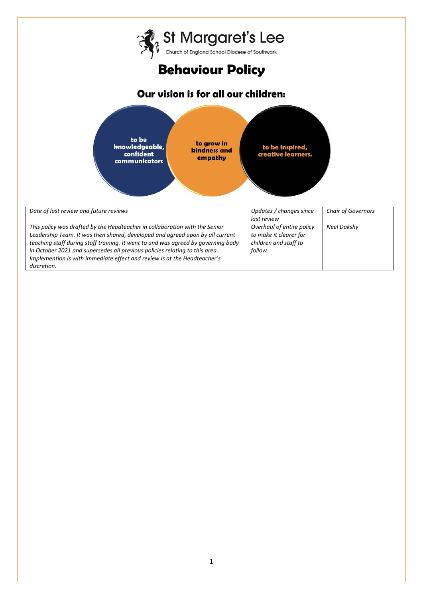

| Date of last review and future reviews                                            | Updates / changes since   | <b>Chair of Governors</b> |
|-----------------------------------------------------------------------------------|---------------------------|---------------------------|
|                                                                                   | last review               |                           |
| This policy was drafted by the Headteacher in collaboration with the Senior       | Overhaul of entire policy | Neel Dakshy               |
| Leadership Team. It was then shared, developed and agreed upon by all current     | to make it clearer for    |                           |
| teaching staff during staff training. It went to and was agreed by governing body | children and staff to     |                           |
| in October 2021 and supersedes all previous policies relating to this area.       | follow                    |                           |
| Implemention is with immediate effect and review is at the Headteacher's          |                           |                           |
| discretion.                                                                       |                           |                           |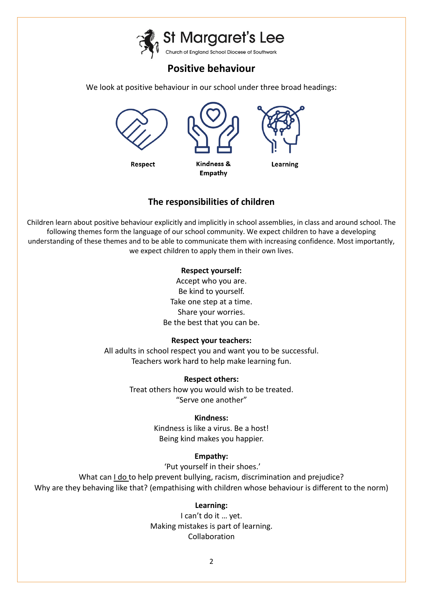St Margaret's Lee<br>Church of England School Diocese of Southwark

# **Positive behaviour**

We look at positive behaviour in our school under three broad headings:



## **The responsibilities of children**

Children learn about positive behaviour explicitly and implicitly in school assemblies, in class and around school. The following themes form the language of our school community. We expect children to have a developing understanding of these themes and to be able to communicate them with increasing confidence. Most importantly, we expect children to apply them in their own lives.

### **Respect yourself:**

Accept who you are. Be kind to yourself. Take one step at a time. Share your worries. Be the best that you can be.

## **Respect your teachers:**

All adults in school respect you and want you to be successful. Teachers work hard to help make learning fun.

## **Respect others:**

Treat others how you would wish to be treated. "Serve one another"

## **Kindness:**

Kindness is like a virus. Be a host! Being kind makes you happier.

## **Empathy:**

'Put yourself in their shoes.'

What can *I do to help prevent bullying, racism, discrimination and prejudice?* Why are they behaving like that? (empathising with children whose behaviour is different to the norm)

## **Learning:**

I can't do it … yet. Making mistakes is part of learning. Collaboration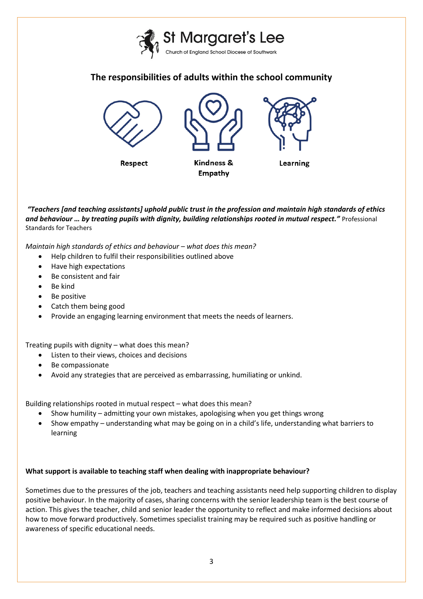

## **The responsibilities of adults within the school community**



*"Teachers [and teaching assistants] uphold public trust in the profession and maintain high standards of ethics and behaviour … by treating pupils with dignity, building relationships rooted in mutual respect."* Professional Standards for Teachers

*Maintain high standards of ethics and behaviour – what does this mean?* 

- Help children to fulfil their responsibilities outlined above
- Have high expectations
- Be consistent and fair
- $\bullet$  Be kind
- Be positive
- Catch them being good
- Provide an engaging learning environment that meets the needs of learners.

Treating pupils with dignity – what does this mean?

- Listen to their views, choices and decisions
- Be compassionate
- Avoid any strategies that are perceived as embarrassing, humiliating or unkind.

Building relationships rooted in mutual respect – what does this mean?

- Show humility admitting your own mistakes, apologising when you get things wrong
- Show empathy understanding what may be going on in a child's life, understanding what barriers to learning

#### **What support is available to teaching staff when dealing with inappropriate behaviour?**

Sometimes due to the pressures of the job, teachers and teaching assistants need help supporting children to display positive behaviour. In the majority of cases, sharing concerns with the senior leadership team is the best course of action. This gives the teacher, child and senior leader the opportunity to reflect and make informed decisions about how to move forward productively. Sometimes specialist training may be required such as positive handling or awareness of specific educational needs.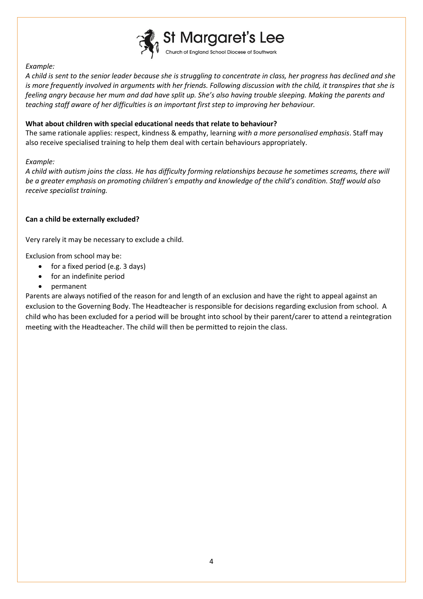

#### *Example:*

*A child is sent to the senior leader because she is struggling to concentrate in class, her progress has declined and she is more frequently involved in arguments with her friends. Following discussion with the child, it transpires that she is feeling angry because her mum and dad have split up. She's also having trouble sleeping. Making the parents and teaching staff aware of her difficulties is an important first step to improving her behaviour.*

#### **What about children with special educational needs that relate to behaviour?**

The same rationale applies: respect, kindness & empathy, learning *with a more personalised emphasis*. Staff may also receive specialised training to help them deal with certain behaviours appropriately.

#### *Example:*

*A child with autism joins the class. He has difficulty forming relationships because he sometimes screams, there will be a greater emphasis on promoting children's empathy and knowledge of the child's condition. Staff would also receive specialist training.*

#### **Can a child be externally excluded?**

Very rarely it may be necessary to exclude a child.

Exclusion from school may be:

- for a fixed period (e.g. 3 days)
- for an indefinite period
- permanent

Parents are always notified of the reason for and length of an exclusion and have the right to appeal against an exclusion to the Governing Body. The Headteacher is responsible for decisions regarding exclusion from school. A child who has been excluded for a period will be brought into school by their parent/carer to attend a reintegration meeting with the Headteacher. The child will then be permitted to rejoin the class.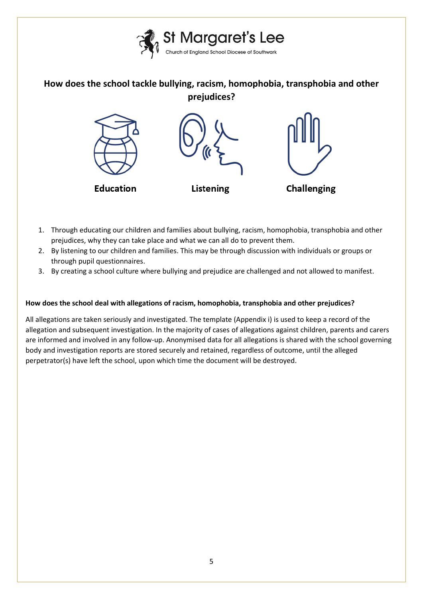

**How does the school tackle bullying, racism, homophobia, transphobia and other prejudices?**



- 1. Through educating our children and families about bullying, racism, homophobia, transphobia and other prejudices, why they can take place and what we can all do to prevent them.
- 2. By listening to our children and families. This may be through discussion with individuals or groups or through pupil questionnaires.
- 3. By creating a school culture where bullying and prejudice are challenged and not allowed to manifest.

#### **How does the school deal with allegations of racism, homophobia, transphobia and other prejudices?**

All allegations are taken seriously and investigated. The template (Appendix i) is used to keep a record of the allegation and subsequent investigation. In the majority of cases of allegations against children, parents and carers are informed and involved in any follow-up. Anonymised data for all allegations is shared with the school governing body and investigation reports are stored securely and retained, regardless of outcome, until the alleged perpetrator(s) have left the school, upon which time the document will be destroyed.